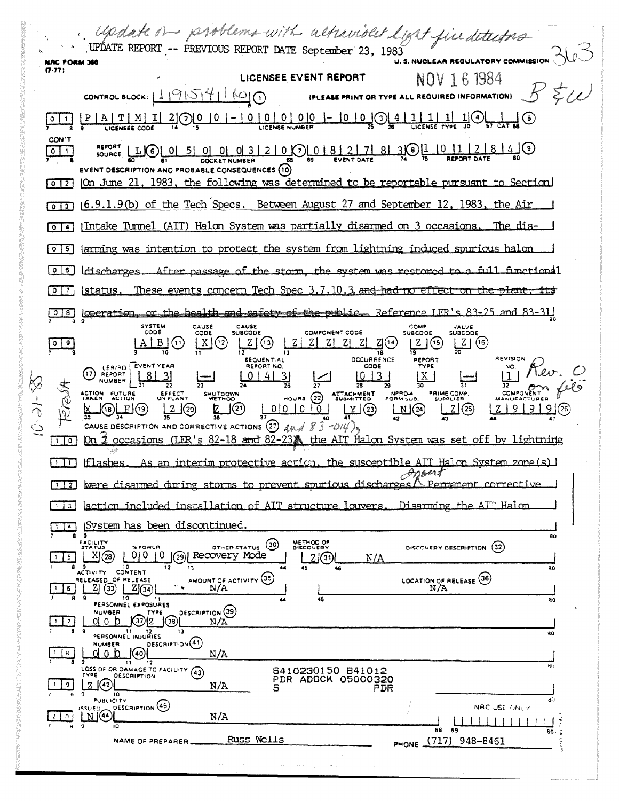pdate on problems with altraviolet light five detectors UPDATE REPORT -- PREVIOUS REPORT DATE September 23, 1983 **U. S. NUCLEAR REGULATORY COMMISSION NRC FORM 366**  $(7.77)$ LICENSEE EVENT REPORT NOV 1 6 1984 CONTROL BLOCK:  $11915141100$ (PLEASE PRINT OR TYPE ALL REQUIRED INFORMATION) <u> - | 0 | 0 | 0 | 0 |0 | - |0 | 0 |</u> 0 | 4 |<br>- | 0 | 0 | 0 | 0 |0 | - |0 | 0 |0 | 4 |  $\underline{\frac{1}{30}}$  $\frac{1}{\sqrt{C_{\text{L}}}}$ <u>\_1|</u>  $\mathbf{L}^{(5)}$  $|P|A|T|M|$  $\mathbf I$ <u>2J(2)U</u>  $|0|1$ **LICENSEE CODE** CON'T  $\frac{R E P O R T}{S Q V R T} = \frac{1}{2} \frac{1}{2} \frac{1}{2} \frac{1}{2} \frac{1}{2} \frac{1}{2} \frac{1}{2} \frac{1}{2} \frac{1}{2} \frac{1}{2} \frac{1}{2} \frac{1}{2} \frac{1}{2} \frac{1}{2} \frac{1}{2} \frac{1}{2} \frac{1}{2} \frac{1}{2} \frac{1}{2} \frac{1}{2} \frac{1}{2} \frac{1}{2} \frac{1}{2} \frac{1}{2} \frac{1}{2} \frac{1}{2} \frac{1}{2} \frac{1}{2} \frac{1}{2}$  $\overline{\mathbf{0}}$   $\mathbf{1}$ **DOCKET NUMBER** EVENT DESCRIPTION AND PROBABLE CONSEQUENCES (10)  $\lceil \circ \rceil$  2 | On June 21, 1983, the following was determined to be reportable pursuant to Section [013] (6.9.1.9(b) of the Tech Specs. Between August 27 and September 12, 1983, the Air Intake Turnel (AIT) Halon System was partially disarmed on 3 occasions. The dis- $\sqrt{2}$  $\lceil \circ \rceil$  larming was intention to protect the system from lightning induced spurious halon  $[0]$  b discharges. After passage of the storm, the system was restored fimetional These events concern Tech Spec 3.7.10.3, and had  $\boxed{0}$   $\boxed{7}$ <u>|status.</u> 018 | Operation, or the health and safety of the public Reference JER's 83-25 and 83-31 SYSTEM<br>CODE CAUSE<br>SUBCODE CAUSE COMP VALVE<br>SUBCODE COMPONENT CODE  $\cos$ **SUBCODE**  $L2(0)$  $A \mid B \mid (1)$  $Z \mid Z \mid Z \mid Z \mid Z$  $Z(0)$  $[X](2)$  $Z(G)$  $Z(6)$ **OCCURRENCE REVISION SEQUENTIAL** REPORT REPORT NO. CODE EVENT YEAR LER/RO  $(1)$  REPORT  $|8|$  $0 | 4 | 3|$  $1013$ **NUMBER**  $\overline{28}$ SHUTDOWN NPRO-4 ACTION FUTURE EFFECT **ATTACHMENT**<br>SUBMITTED PRIME COMP.  $HOWRS$   $(22)$  $0|0|0|0|$  $\Box$  $(2)$ J(20) J(21)  $\underline{Y}$  (23)  $2(25)$  $Z$  | 9 | CAUSE DESCRIPTION AND CORRECTIVE ACTIONS (27)  $\Delta M \rightarrow \delta^2$  - 014) occasions (LER's 82-18 and 82-23) the AIT Halon System was set off by lightning  $\Box$ Юn As an interim protective action, the susceptible AIT Halon System zone(s) |  $\Box$  $If **l** = **sl**$ Ansent [1] Exerc disarmed during storms to prevent spurious discharges / Permanent corrective Disarming the AIT Halon [1] action included installation of AIT structure lowers. [1] System has been discontinued. 9. 80 FACILITY METHOD OF OTHER STATUS (30) DISCOVERY DESCRIPTION (32) POWER X(28) 0000000 Recovery Mode  $115$  $Z(3)$ N/A ACTIVITY CONTENT ۸O AMOUNT OF ACTIVITY (35) LOCATION OF RELEASE (36) RELEASED OF RELEASE  $250 | 201$  $\overline{16}$  $N/A$  $N/A$  $10^{-}$ 45  $\overline{20}$ 10 11<br>PERSONNEL EXPOSURES **NUMBER DESCRIPTION** (39) TYPE  $\overline{\phantom{a}}$ oj o jo <u>|ကျွေး |(၁)</u>  $N/A$ **PERSONNEL INJURIES**  $\overline{30}$ DESCRIPTION<sup>(41)</sup> **NUMBER**  $d$   $0$   $b$   $\odot$   $0$  $|B|$  $N/A$ 8410230150 841012<br>PDR ADOCK 05000320 ה **9**<br>LOSS OF OR DAMAGE TO FACILITY (43) DESCRIPTION  $|Z(\Omega)|$  $\overline{\phantom{0}}$  $N/A$  $\overline{10}$ PUBLICITY **DESCRIPTION** (45)  $\mathbb{E}^{\text{ISUEO}}_{\text{M}}$ NRC USE ONLY  $2\sqrt{2}$  $N/A$ 68 RΩ. PHONE: (717) 948-8461 Russ Wells NAME OF PREPARER.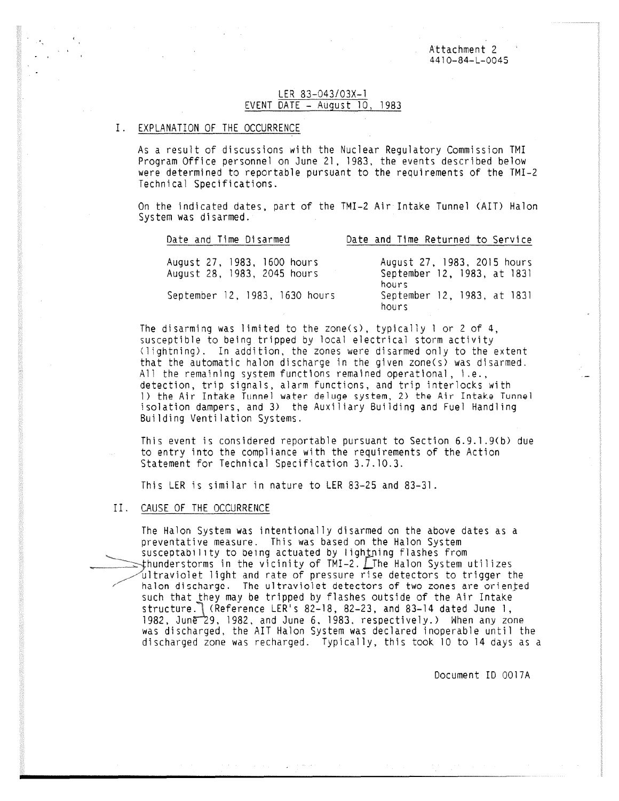Attachment 2 4410-84-L-0045

## LER 83-043/03X-1 EVENT DATE - August 10, 1983

#### I. EXPLANATION OF THE OCCURRENCE

As a result of discussions with the Nuclear Regulatory Commission TMI Program Office personnel on June 21, 1983, the events described below were determined to reportable pursuant to the requirements of the TMI-2 Technical Specifications.

On the indicated dates, part of the TMI-2 Air Intake Tunnel (AIT) Halon System was disarmed.

| Date and Time Returned to Service                                                                           |
|-------------------------------------------------------------------------------------------------------------|
| August 27, 1983, 2015 hours<br>September 12, 1983, at 1831<br>hours<br>September 12, 1983, at 1831<br>hours |
|                                                                                                             |

The disarming was limited to the zone(s), typically 1 or 2 of 4, susceptible to being tripped by local electrical storm activity (lightning). In addition, the zones were disarmed only to the extent that the automatic halon discharge in the given zone(s) was disarmed. All the remaining system functions remained operational, i.e., detection, trip signals, alarm functions, and trip interlocks with 1) the Air Intake Tunnel water deluge system, 2) the Air Intake Tunnel isolation dampers, and 3) the Auxiliary Building and Fuel Handling Building Ventilation Systems.

This event is considered reportable pursuant to Section 6.9.1.9(b) due to entry into the compliance with the requirements of the Action Statement for Technical Specification 3.7.10.3.

This LER is similar in nature to LER 83-25 and 83-31.

#### II. CAUSE OF THE OCCURRENCE

The Halon System was intentionally disarmed on the above dates as a preventative measure. This was based on the Halon System susceptability to being actuated by lightning flashes from  $\Rightarrow$ thunderstorms in the vicinity of TMI-2.  $\Box$ The Halon System utilizes ultraviolet light and rate of pressure rise detectors to trigger the halon discharge. The ultraviolet detectors of two zones are oriented such that they may be tripped by flashes outside of the Air Intake structure. (Reference LER's 82-18, 82-23, and 83-14 dated June 1, 1982, June 29, 1982, and June 6, 1983, respectively.) When any zone was discharged, the AIT Halon System was declared inoperable until the discharged zone was recharged. Typically, this took 10 to 14 days as a

Document ID 0017A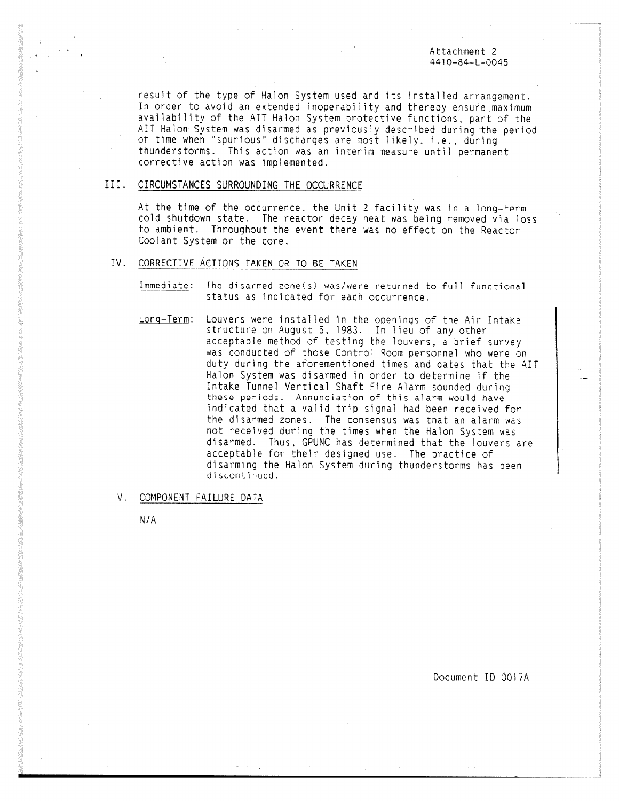#### Attachment 2 4410-84-L-0045

result of the type of Halon System used and its installed arrangement. In order to avoid an extended inoperability and thereby ensure maximum availability of the AIT Halon System protective functions, part of the AIT Halon System was disarmed as previously described during the period of time when "spurious" discharges are most likely, i.e., during thunderstorms. This action was an interim measure until permanent corrective action was implemented.

#### III. CIRCUMSTANCES SURROUNDING THE OCCURRENCE

At the time of the occurrence, the Unit 2 facility was in a long-term cold shutdown state. The reactor decay heat was being removed via loss to ambient. Throughout the event there was no effect on the Reactor Coolant System or the core.

## IV. CORRECTIVE ACTIONS TAKEN OR TO BE TAKEN

Immediate: The disarmed zone(s) was/were returned to full functional status as indicated for each occurrence.

Long-Term: Louvers were installed in the openings of the Air Intake structure on August 5, 1983. In lieu of any other acceptable method of testing the louvers, a brief survey was conducted of those Control Room personnel who were on duty during the aforementioned times and dates that the AIT Halon System was disarmed in order to determine if the Intake Tunnel Vertical Shaft Fire Alarm sounded during these periods. Annunciation of this alarm would have indicated that a valid trip signal had been received for the disarmed zones. The consensus was that an alarm was not received during the times when the Halon System was disarmed. Thus, GPUNC has determined that the louvers are acceptable for their designed use. The practice of disarming the Halon System during thunderstorms has been discontinued.

#### V. COMPONENT FAILURE DATA

N/A

Document ID 0017A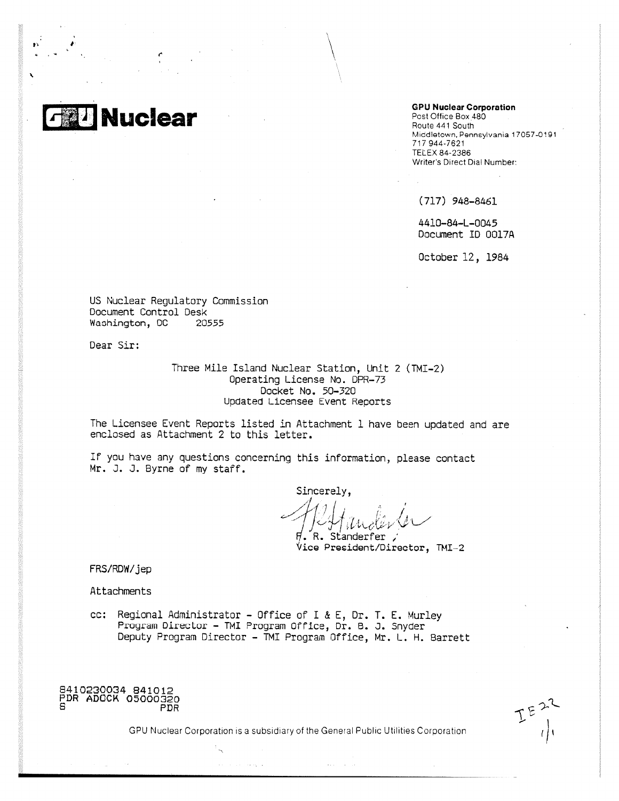# **Nuclear**

r

 $\mathbf{p}^T = \mathbf{p}^T$ 

`

**GPU Nuclear Corporation** 

Post Office Box 48O Route 441 South Middletown, Pennsylvania 17057-0191 717944-7621 **TELEX 84-2386** Writer's Direct Dial Number:

(717) 948-846I

4410-84-L-0045 Document ID 0017A

October 12, 1984

US Nuclear Regulatory Commission Document Control Desk<br>Washington, DC 20555 Washington, DC

Dear Sir:

Three Mile Island Nuclear Station, Unit 2 (TMI-2) Operating License No. DPR-73 Docket No. 50~320 Updated Licensee Event Reports

The Licensee Event Reports listed in Attachment 1 have been updated and are enclosed as Attachment 2 to this letter.

If you have any questions concerning this information, please contact Mr. J. J. Byrne of my staff.

Sincerely,  $\mathcal{U}_{1}$  ,  $\longrightarrow$  / R. Standerfer ,'

**s/ice President/Director,** TMI-2

FRS/RDW/jep

Attachments

cc: Regional Administrator - Office of I & E, Dr. T. E. Murley Program Director - TMI Program Office, Dr. B. J. Snyder Deputy Program Director - TMI Program Office, Mr. L. H. Barrett

 $\sim \omega_{\rm c}/\omega$ 

8410230034 B41012<br>PDR ADOCK 05000320<br>PDR

 $\mathcal{L}$   $\mathcal{L}$  $\cdots$ 

CPU Nuclear Corporation is a subsidiary of the General Public Utilities Corporation